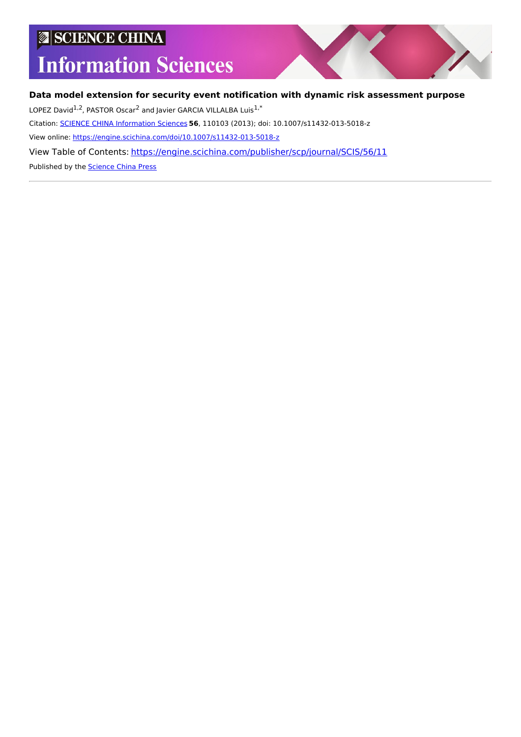## SCIENCE CHINA

# **Information Sciences**

## **Data model extension for security event notification with dynamic risk assessment purpose**

LOPEZ David<sup>1,2</sup>, PASTOR Oscar<sup>2</sup> and Javier GARCIA VILLALBA Luis<sup>1,\*</sup>

Citation: SCIENCE CHINA [Information](https://engine.scichina.com/publisher/scp/journal/SCIS) Sciences **56**, 110103 (2013); doi: 10.1007/s11432-013-5018-z

View online: <https://engine.scichina.com/doi/10.1007/s11432-013-5018-z>

View Table of Contents: <https://engine.scichina.com/publisher/scp/journal/SCIS/56/11>

Published by the [Science](https://engine.scichina.com/publisher/scp) China Press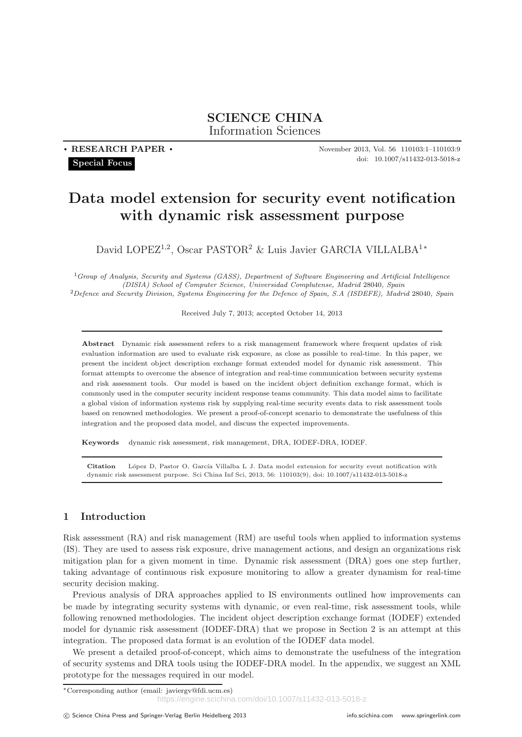**SCIENCE CHINA** Information Sciences

**. RESEARCH PAPER . Special Focus**

November 2013, Vol. 56 110103:1–110103:9 doi: 10.1007/s11432-013-5018-z

## **Data model extension for security event notification with dynamic risk assessment purpose**

David LOPEZ<sup>1,2</sup>, Oscar PASTOR<sup>2</sup> & Luis Javier GARCIA VILLALBA<sup>1</sup><sup>\*</sup>

<sup>1</sup>*Group of Analysis, Security and Systems (GASS), Department of Software Engineering and Artificial Intelligence (DISIA) School of Computer Science, Universidad Complutense, Madrid* 28040*, Spain* <sup>2</sup>*Defence and Security Division, Systems Engineering for the Defence of Spain, S.A (ISDEFE), Madrid* 28040*, Spain*

Received July 7, 2013; accepted October 14, 2013

**Abstract** Dynamic risk assessment refers to a risk management framework where frequent updates of risk evaluation information are used to evaluate risk exposure, as close as possible to real-time. In this paper, we present the incident object description exchange format extended model for dynamic risk assessment. This format attempts to overcome the absence of integration and real-time communication between security systems and risk assessment tools. Our model is based on the incident object definition exchange format, which is commonly used in the computer security incident response teams community. This data model aims to facilitate a global vision of information systems risk by supplying real-time security events data to risk assessment tools based on renowned methodologies. We present a proof-of-concept scenario to demonstrate the usefulness of this integration and the proposed data model, and discuss the expected improvements.

**Keywords** dynamic risk assessment, risk management, DRA, IODEF-DRA, IODEF.

Citation López D, Pastor O, García Villalba L J. Data model extension for security event notification with dynamic risk assessment purpose. Sci China Inf Sci, 2013, 56: 110103(9), doi: 10.1007/s11432-013-5018-z

## **1 Introduction**

Risk assessment (RA) and risk management (RM) are useful tools when applied to information systems (IS). They are used to assess risk exposure, drive management actions, and design an organizations risk mitigation plan for a given moment in time. Dynamic risk assessment (DRA) goes one step further, taking advantage of continuous risk exposure monitoring to allow a greater dynamism for real-time security decision making.

Previous analysis of DRA approaches applied to IS environments outlined how improvements can be made by integrating security systems with dynamic, or even real-time, risk assessment tools, while following renowned methodologies. The incident object description exchange format (IODEF) extended model for dynamic risk assessment (IODEF-DRA) that we propose in Section 2 is an attempt at this integration. The proposed data format is an evolution of the IODEF data model.

We present a detailed proof-of-concept, which aims to demonstrate the usefulness of the integration of security systems and DRA tools using the IODEF-DRA model. In the appendix, we suggest an XML prototype for the messages required in our model.

<sup>∗</sup>Corresponding author (email: javiergv@fdi.ucm.es) https://engine.scichina.com/doi/10.1007/s11432-013-5018-z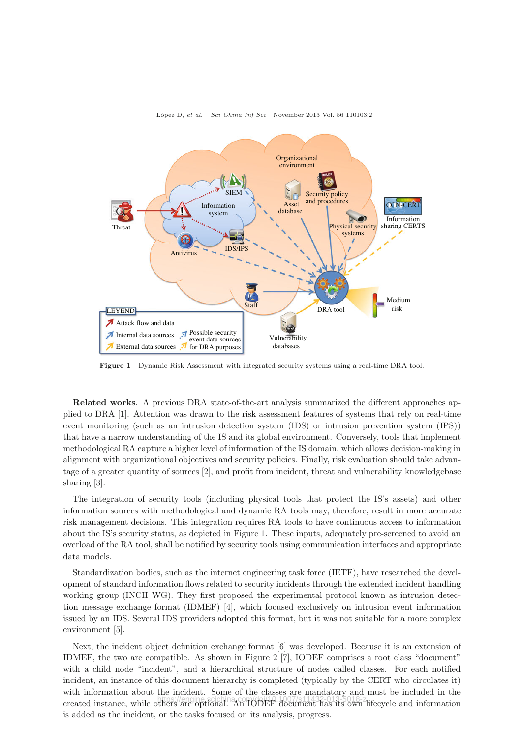

#### L´opez D, *et al. Sci China Inf Sci* November 2013 Vol. 56 110103:2

**Figure 1** Dynamic Risk Assessment with integrated security systems using a real-time DRA tool.

**Related works**. A previous DRA state-of-the-art analysis summarized the different approaches applied to DRA [1]. Attention was drawn to the risk assessment features of systems that rely on real-time event monitoring (such as an intrusion detection system (IDS) or intrusion prevention system (IPS)) that have a narrow understanding of the IS and its global environment. Conversely, tools that implement methodological RA capture a higher level of information of the IS domain, which allows decision-making in alignment with organizational objectives and security policies. Finally, risk evaluation should take advantage of a greater quantity of sources [2], and profit from incident, threat and vulnerability knowledgebase sharing [3].

The integration of security tools (including physical tools that protect the IS's assets) and other information sources with methodological and dynamic RA tools may, therefore, result in more accurate risk management decisions. This integration requires RA tools to have continuous access to information about the IS's security status, as depicted in Figure 1. These inputs, adequately pre-screened to avoid an overload of the RA tool, shall be notified by security tools using communication interfaces and appropriate data models.

Standardization bodies, such as the internet engineering task force (IETF), have researched the development of standard information flows related to security incidents through the extended incident handling working group (INCH WG). They first proposed the experimental protocol known as intrusion detection message exchange format (IDMEF) [4], which focused exclusively on intrusion event information issued by an IDS. Several IDS providers adopted this format, but it was not suitable for a more complex environment [5].

Next, the incident object definition exchange format [6] was developed. Because it is an extension of IDMEF, the two are compatible. As shown in Figure 2 [7], IODEF comprises a root class "document" with a child node "incident", and a hierarchical structure of nodes called classes. For each notified incident, an instance of this document hierarchy is completed (typically by the CERT who circulates it) with information about the incident. Some of the classes are mandatory and must be included in the created instance, while others are optional. An IODEF document has its own lifecycle and information https://engine.scichina.com/doi/10.1007/s11432-013-5018-zis added as the incident, or the tasks focused on its analysis, progress.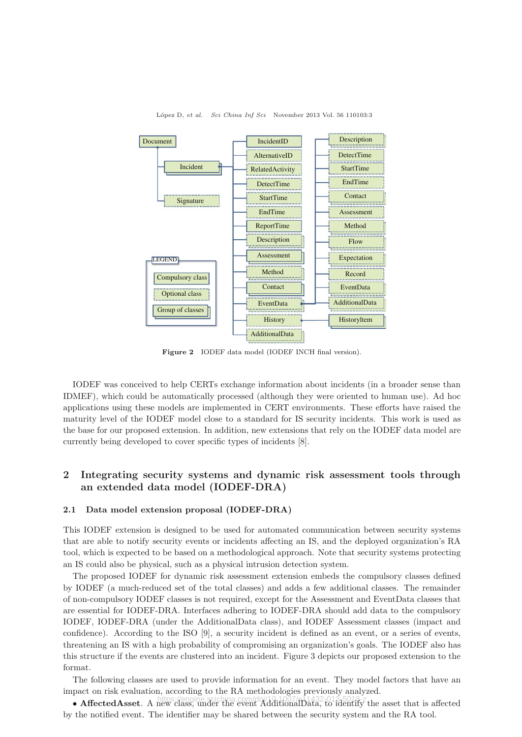

L´opez D, *et al. Sci China Inf Sci* November 2013 Vol. 56 110103:3

Figure 2 IODEF data model (IODEF INCH final version).

IODEF was conceived to help CERTs exchange information about incidents (in a broader sense than IDMEF), which could be automatically processed (although they were oriented to human use). Ad hoc applications using these models are implemented in CERT environments. These efforts have raised the maturity level of the IODEF model close to a standard for IS security incidents. This work is used as the base for our proposed extension. In addition, new extensions that rely on the IODEF data model are currently being developed to cover specific types of incidents [8].

## **2 Integrating security systems and dynamic risk assessment tools through an extended data model (IODEF-DRA)**

#### **2.1 Data model extension proposal (IODEF-DRA)**

This IODEF extension is designed to be used for automated communication between security systems that are able to notify security events or incidents affecting an IS, and the deployed organization's RA tool, which is expected to be based on a methodological approach. Note that security systems protecting an IS could also be physical, such as a physical intrusion detection system.

The proposed IODEF for dynamic risk assessment extension embeds the compulsory classes defined by IODEF (a much-reduced set of the total classes) and adds a few additional classes. The remainder of non-compulsory IODEF classes is not required, except for the Assessment and EventData classes that are essential for IODEF-DRA. Interfaces adhering to IODEF-DRA should add data to the compulsory IODEF, IODEF-DRA (under the AdditionalData class), and IODEF Assessment classes (impact and confidence). According to the ISO [9], a security incident is defined as an event, or a series of events, threatening an IS with a high probability of compromising an organization's goals. The IODEF also has this structure if the events are clustered into an incident. Figure 3 depicts our proposed extension to the format.

The following classes are used to provide information for an event. They model factors that have an impact on risk evaluation, according to the RA methodologies previously analyzed.

**• AffectedAsset**. A new class, under the event AdditionalData, to identify the asset that is affected by the notified event. The identifier may be shared between the security system and the RA tool.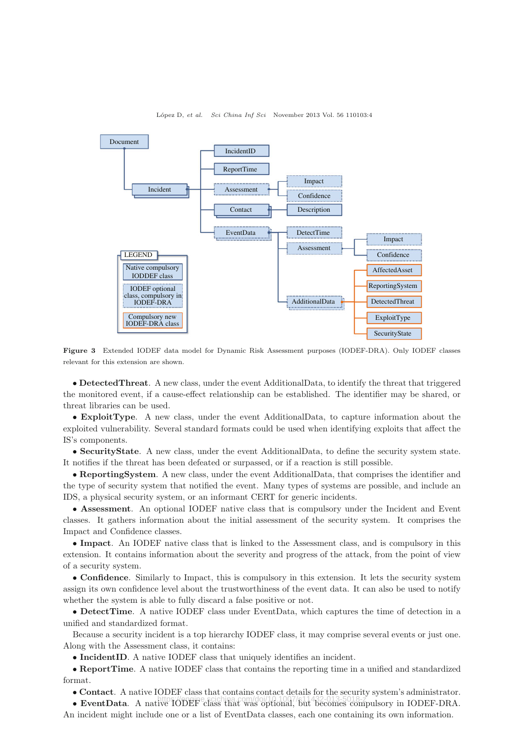

#### L´opez D, *et al. Sci China Inf Sci* November 2013 Vol. 56 110103:4

**Figure 3** Extended IODEF data model for Dynamic Risk Assessment purposes (IODEF-DRA). Only IODEF classes relevant for this extension are shown.

• **DetectedThreat**. A new class, under the event AdditionalData, to identify the threat that triggered the monitored event, if a cause-effect relationship can be established. The identifier may be shared, or threat libraries can be used.

*•* **ExploitType**. A new class, under the event AdditionalData, to capture information about the exploited vulnerability. Several standard formats could be used when identifying exploits that affect the IS's components.

• **SecurityState**. A new class, under the event AdditionalData, to define the security system state. It notifies if the threat has been defeated or surpassed, or if a reaction is still possible.

*•* **ReportingSystem**. A new class, under the event AdditionalData, that comprises the identifier and the type of security system that notified the event. Many types of systems are possible, and include an IDS, a physical security system, or an informant CERT for generic incidents.

• **Assessment**. An optional IODEF native class that is compulsory under the Incident and Event classes. It gathers information about the initial assessment of the security system. It comprises the Impact and Confidence classes.

*•* **Impact**. An IODEF native class that is linked to the Assessment class, and is compulsory in this extension. It contains information about the severity and progress of the attack, from the point of view of a security system.

• **Confidence**. Similarly to Impact, this is compulsory in this extension. It lets the security system assign its own confidence level about the trustworthiness of the event data. It can also be used to notify whether the system is able to fully discard a false positive or not.

*•* **DetectTime**. A native IODEF class under EventData, which captures the time of detection in a unified and standardized format.

Because a security incident is a top hierarchy IODEF class, it may comprise several events or just one. Along with the Assessment class, it contains:

• **IncidentID**. A native IODEF class that uniquely identifies an incident.

*•* **ReportTime**. A native IODEF class that contains the reporting time in a unified and standardized format.

• **Contact**. A native IODEF class that contains contact details for the security system's administrator.

• **EventData**. A native IODEF class that was optional, but becomes compulsory in IODEF-DRA. An incident might include one or a list of EventData classes, each one containing its own information.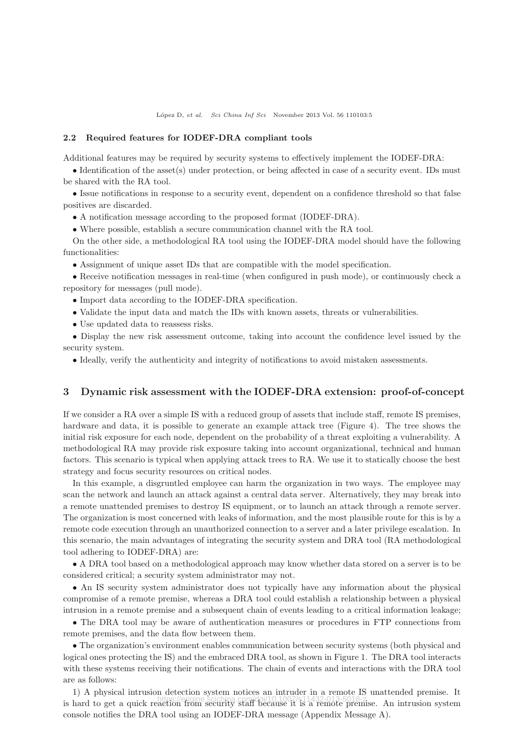#### **2.2 Required features for IODEF-DRA compliant tools**

Additional features may be required by security systems to effectively implement the IODEF-DRA:

• Identification of the asset(s) under protection, or being affected in case of a security event. IDs must be shared with the RA tool.

• Issue notifications in response to a security event, dependent on a confidence threshold so that false positives are discarded.

• A notification message according to the proposed format (IODEF-DRA).

• Where possible, establish a secure communication channel with the RA tool.

On the other side, a methodological RA tool using the IODEF-DRA model should have the following functionalities:

• Assignment of unique asset IDs that are compatible with the model specification.

• Receive notification messages in real-time (when configured in push mode), or continuously check a repository for messages (pull mode).

- *•* Import data according to the IODEF-DRA specification.
- Validate the input data and match the IDs with known assets, threats or vulnerabilities.
- *•* Use updated data to reassess risks.

• Display the new risk assessment outcome, taking into account the confidence level issued by the security system.

• Ideally, verify the authenticity and integrity of notifications to avoid mistaken assessments.

#### **3 Dynamic risk assessment with the IODEF-DRA extension: proof-of-concept**

If we consider a RA over a simple IS with a reduced group of assets that include staff, remote IS premises, hardware and data, it is possible to generate an example attack tree (Figure 4). The tree shows the initial risk exposure for each node, dependent on the probability of a threat exploiting a vulnerability. A methodological RA may provide risk exposure taking into account organizational, technical and human factors. This scenario is typical when applying attack trees to RA. We use it to statically choose the best strategy and focus security resources on critical nodes.

In this example, a disgruntled employee can harm the organization in two ways. The employee may scan the network and launch an attack against a central data server. Alternatively, they may break into a remote unattended premises to destroy IS equipment, or to launch an attack through a remote server. The organization is most concerned with leaks of information, and the most plausible route for this is by a remote code execution through an unauthorized connection to a server and a later privilege escalation. In this scenario, the main advantages of integrating the security system and DRA tool (RA methodological tool adhering to IODEF-DRA) are:

• A DRA tool based on a methodological approach may know whether data stored on a server is to be considered critical; a security system administrator may not.

• An IS security system administrator does not typically have any information about the physical compromise of a remote premise, whereas a DRA tool could establish a relationship between a physical intrusion in a remote premise and a subsequent chain of events leading to a critical information leakage;

• The DRA tool may be aware of authentication measures or procedures in FTP connections from remote premises, and the data flow between them.

• The organization's environment enables communication between security systems (both physical and logical ones protecting the IS) and the embraced DRA tool, as shown in Figure 1. The DRA tool interacts with these systems receiving their notifications. The chain of events and interactions with the DRA tool are as follows:

1) A physical intrusion detection system notices an intruder in a remote IS unattended premise. It is hard to get a quick reaction from security staff because it is a remote premise. An intrusion system console notifies the DRA tool using an IODEF-DRA message (Appendix Message A).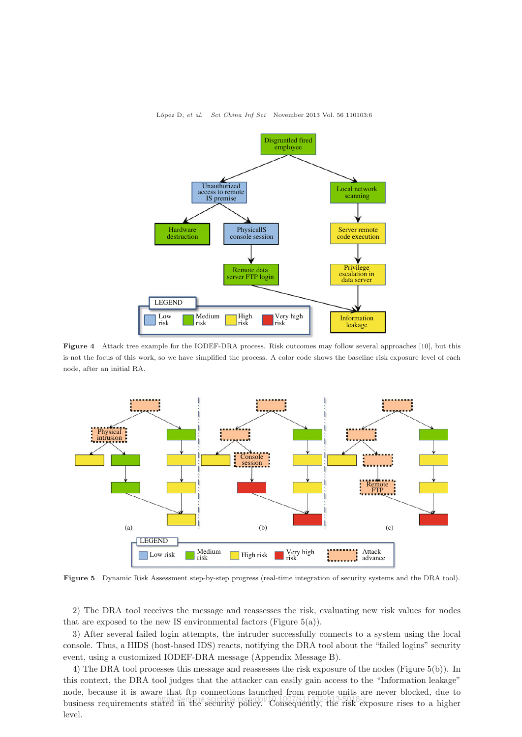

L´opez D, *et al. Sci China Inf Sci* November 2013 Vol. 56 110103:6

**Figure 4** Attack tree example for the IODEF-DRA process. Risk outcomes may follow several approaches [10], but this is not the focus of this work, so we have simplified the process. A color code shows the baseline risk exposure level of each node, after an initial RA.



**Figure 5** Dynamic Risk Assessment step-by-step progress (real-time integration of security systems and the DRA tool).

2) The DRA tool receives the message and reassesses the risk, evaluating new risk values for nodes that are exposed to the new IS environmental factors (Figure  $5(a)$ ).

3) After several failed login attempts, the intruder successfully connects to a system using the local console. Thus, a HIDS (host-based IDS) reacts, notifying the DRA tool about the "failed logins" security event, using a customized IODEF-DRA message (Appendix Message B).

4) The DRA tool processes this message and reassesses the risk exposure of the nodes (Figure 5(b)). In this context, the DRA tool judges that the attacker can easily gain access to the "Information leakage" node, because it is aware that ftp connections launched from remote units are never blocked, due to business requirements stated in the security policy. Consequently, the risk exposure rises to a higher https://engine.scichina.com/doi/10.1007/s11432-013-5018-zlevel.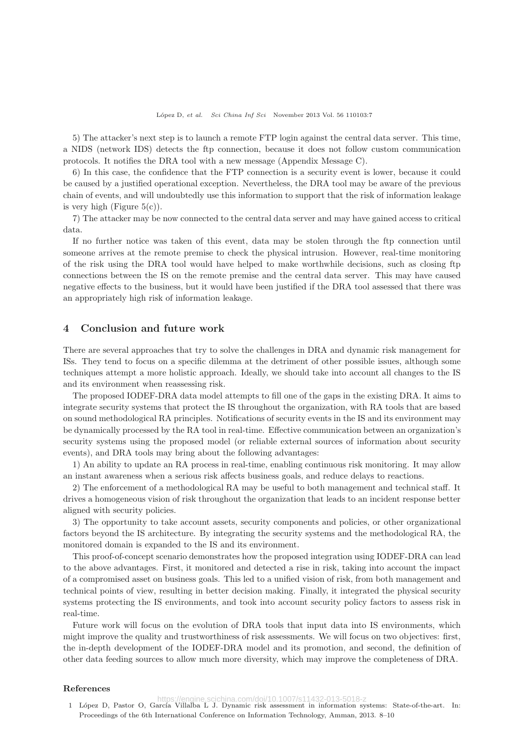5) The attacker's next step is to launch a remote FTP login against the central data server. This time, a NIDS (network IDS) detects the ftp connection, because it does not follow custom communication protocols. It notifies the DRA tool with a new message (Appendix Message C).

6) In this case, the confidence that the FTP connection is a security event is lower, because it could be caused by a justified operational exception. Nevertheless, the DRA tool may be aware of the previous chain of events, and will undoubtedly use this information to support that the risk of information leakage is very high (Figure  $5(c)$ ).

7) The attacker may be now connected to the central data server and may have gained access to critical data.

If no further notice was taken of this event, data may be stolen through the ftp connection until someone arrives at the remote premise to check the physical intrusion. However, real-time monitoring of the risk using the DRA tool would have helped to make worthwhile decisions, such as closing ftp connections between the IS on the remote premise and the central data server. This may have caused negative effects to the business, but it would have been justified if the DRA tool assessed that there was an appropriately high risk of information leakage.

#### **4 Conclusion and future work**

There are several approaches that try to solve the challenges in DRA and dynamic risk management for ISs. They tend to focus on a specific dilemma at the detriment of other possible issues, although some techniques attempt a more holistic approach. Ideally, we should take into account all changes to the IS and its environment when reassessing risk.

The proposed IODEF-DRA data model attempts to fill one of the gaps in the existing DRA. It aims to integrate security systems that protect the IS throughout the organization, with RA tools that are based on sound methodological RA principles. Notifications of security events in the IS and its environment may be dynamically processed by the RA tool in real-time. Effective communication between an organization's security systems using the proposed model (or reliable external sources of information about security events), and DRA tools may bring about the following advantages:

1) An ability to update an RA process in real-time, enabling continuous risk monitoring. It may allow an instant awareness when a serious risk affects business goals, and reduce delays to reactions.

2) The enforcement of a methodological RA may be useful to both management and technical staff. It drives a homogeneous vision of risk throughout the organization that leads to an incident response better aligned with security policies.

3) The opportunity to take account assets, security components and policies, or other organizational factors beyond the IS architecture. By integrating the security systems and the methodological RA, the monitored domain is expanded to the IS and its environment.

This proof-of-concept scenario demonstrates how the proposed integration using IODEF-DRA can lead to the above advantages. First, it monitored and detected a rise in risk, taking into account the impact of a compromised asset on business goals. This led to a unified vision of risk, from both management and technical points of view, resulting in better decision making. Finally, it integrated the physical security systems protecting the IS environments, and took into account security policy factors to assess risk in real-time.

Future work will focus on the evolution of DRA tools that input data into IS environments, which might improve the quality and trustworthiness of risk assessments. We will focus on two objectives: first, the in-depth development of the IODEF-DRA model and its promotion, and second, the definition of other data feeding sources to allow much more diversity, which may improve the completeness of DRA.

#### **References**

https://engine.scichina.com/doi/10.1007/s11432-013-5018-z<br>1 López D, Pastor O, García Villalba L J. Dynamic risk assessment in information systems: State-of-the-art. In:

Proceedings of the 6th International Conference on Information Technology, Amman, 2013. 8–10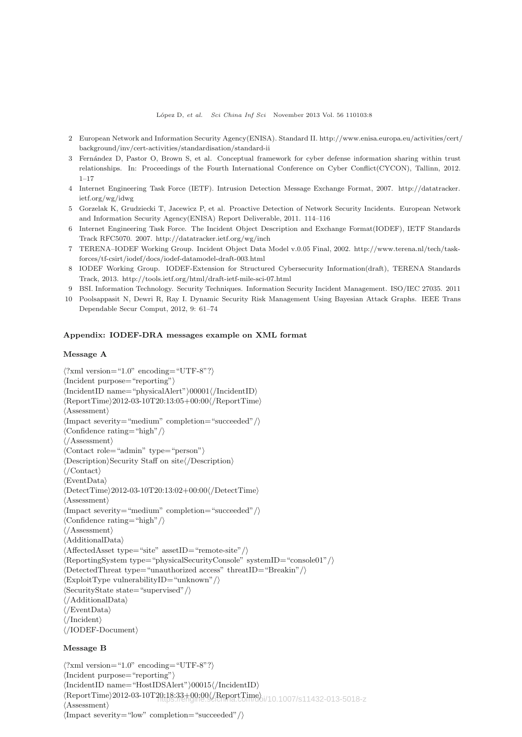- 2 European Network and Information Security Agency(ENISA). Standard II. http://www.enisa.europa.eu/activities/cert/ background/inv/cert-activities/standardisation/standard-ii
- 3 Fern´andez D, Pastor O, Brown S, et al. Conceptual framework for cyber defense information sharing within trust relationships. In: Proceedings of the Fourth International Conference on Cyber Conflict(CYCON), Tallinn, 2012. 1–17
- 4 Internet Engineering Task Force (IETF). Intrusion Detection Message Exchange Format, 2007. http://datatracker. ietf.org/wg/idwg
- 5 Gorzelak K, Grudziecki T, Jacewicz P, et al. Proactive Detection of Network Security Incidents. European Network and Information Security Agency(ENISA) Report Deliverable, 2011. 114–116
- 6 Internet Engineering Task Force. The Incident Object Description and Exchange Format(IODEF), IETF Standards Track RFC5070. 2007. http://datatracker.ietf.org/wg/inch
- 7 TERENA–IODEF Working Group. Incident Object Data Model v.0.05 Final, 2002. http://www.terena.nl/tech/taskforces/tf-csirt/iodef/docs/iodef-datamodel-draft-003.html
- 8 IODEF Working Group. IODEF-Extension for Structured Cybersecurity Information(draft), TERENA Standards Track, 2013. http://tools.ietf.org/html/draft-ietf-mile-sci-07.html
- 9 BSI. Information Technology. Security Techniques. Information Security Incident Management. ISO/IEC 27035. 2011
- 10 Poolsappasit N, Dewri R, Ray I. Dynamic Security Risk Management Using Bayesian Attack Graphs. IEEE Trans Dependable Secur Comput, 2012, 9: 61–74

#### **Appendix: IODEF-DRA messages example on XML format**

### **Message A**

```
\langle?xml version="1.0" encoding="UTF-8"?\rangle\langleIncident purpose="reporting"\rangle\langle \text{IncidentID name} = \text{``physicalAlert''} \rangle 00001 \langle \text{IncidentID} \rangle\langle ReportTime \rangle 2012-03-10T20:13:05+00:00 \langle /ReportTime \rangle\langleAssessment\rangle\langleImpact severity="medium" completion="succeeded"/\rangle\langleConfidence rating="high"/\rangle\langle/Assessment\rangle-
Contact role="admin" type="person"
\langleDescription\rangleSecurity Staff on site\langle/Description\rangle\langle/Contact\rangle\langleEventData\rangle\langle \text{DetectTime} \rangle 2012\text{-}03\text{-}10T20:13:02\text{+}00:00 \langle \text{/DetectTime} \rangle\langleAssessment\rangle\langleImpact severity="medium" completion="succeeded"/\rangle\langleConfidence rating="high"/\rangle\langle/Assessment\rangle\langleAdditionalData\rangle\langleAffectedAsset type="site" assetID="remote-site"/\rangle-
ReportingSystem type="physicalSecurityConsole" systemID="console01"/
\langleDetectedThreat type="unauthorized access" threatID="Breakin" \rangle)
\langleExploitType vulnerabilityID="unknown"/\rangle\langleSecurityState state="supervised"/\rangle\langle/AdditionalData\rangle\langle/EventData\rangle\langle/Incident\rangle\langle /IODEF-Document\rangle
```
#### **Message B**

 $\langle$ ?xml version="1.0" encoding="UTF-8"? $\rangle$  $\langle$ Incident purpose="reporting" $\rangle$  $\langle$  $IncidentID$  name="HostIDSAlert" $\rangle$ 00015 $\langle$ /IncidentID $\rangle$ -ReportTime2012-03-10T20:18:33+00:00-/ReportTime https://engine.scichina.com/doi/10.1007/s11432-013-5018-z $\langle$ Assessment $\rangle$  $\langle$ Impact severity="low" completion="succeeded"/ $\rangle$